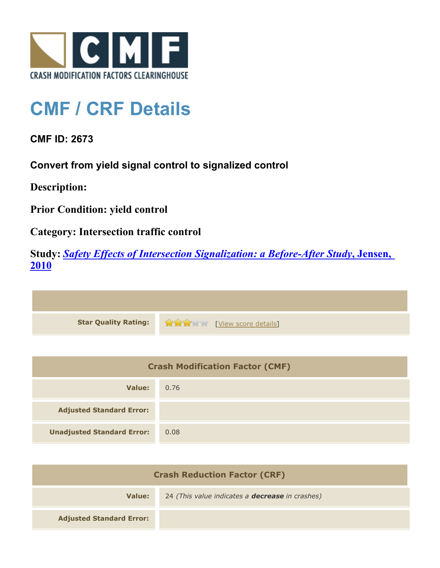

## **CMF / CRF Details**

**CMF ID: 2673**

**Convert from yield signal control to signalized control**

**Description:** 

**Prior Condition: yield control**

**Category: Intersection traffic control**

**Study:** *[Safety Effects of Intersection Signalization: a Before-After Study](http://www.cmfclearinghouse.org/study_detail.cfm?stid=170)***[, Jensen,](http://www.cmfclearinghouse.org/study_detail.cfm?stid=170) [2010](http://www.cmfclearinghouse.org/study_detail.cfm?stid=170)**



| <b>Crash Modification Factor (CMF)</b> |      |
|----------------------------------------|------|
| Value:                                 | 0.76 |
| <b>Adjusted Standard Error:</b>        |      |
| <b>Unadjusted Standard Error:</b>      | 0.08 |

| <b>Crash Reduction Factor (CRF)</b> |                                                        |
|-------------------------------------|--------------------------------------------------------|
| Value:                              | 24 (This value indicates a <b>decrease</b> in crashes) |
| <b>Adjusted Standard Error:</b>     |                                                        |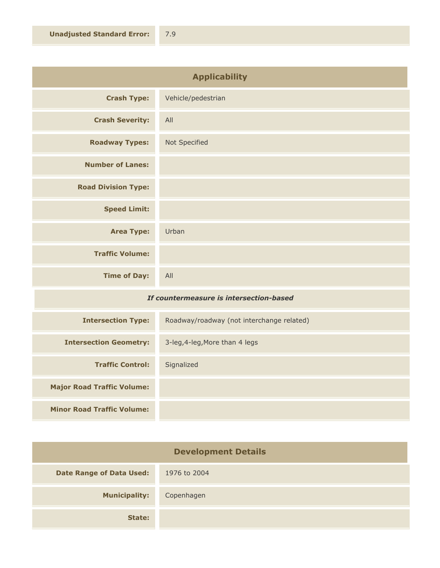| <b>Applicability</b>       |                    |
|----------------------------|--------------------|
| <b>Crash Type:</b>         | Vehicle/pedestrian |
| <b>Crash Severity:</b>     | All                |
| <b>Roadway Types:</b>      | Not Specified      |
| <b>Number of Lanes:</b>    |                    |
| <b>Road Division Type:</b> |                    |
| <b>Speed Limit:</b>        |                    |
| <b>Area Type:</b>          | Urban              |
| <b>Traffic Volume:</b>     |                    |
| <b>Time of Day:</b>        | All                |

## *If countermeasure is intersection-based*

| <b>Intersection Type:</b>         | Roadway/roadway (not interchange related) |
|-----------------------------------|-------------------------------------------|
| <b>Intersection Geometry:</b>     | 3-leg, 4-leg, More than 4 legs            |
| <b>Traffic Control:</b>           | Signalized                                |
| <b>Major Road Traffic Volume:</b> |                                           |
| <b>Minor Road Traffic Volume:</b> |                                           |

| <b>Development Details</b>      |              |
|---------------------------------|--------------|
| <b>Date Range of Data Used:</b> | 1976 to 2004 |
| <b>Municipality:</b>            | Copenhagen   |
| State:                          |              |